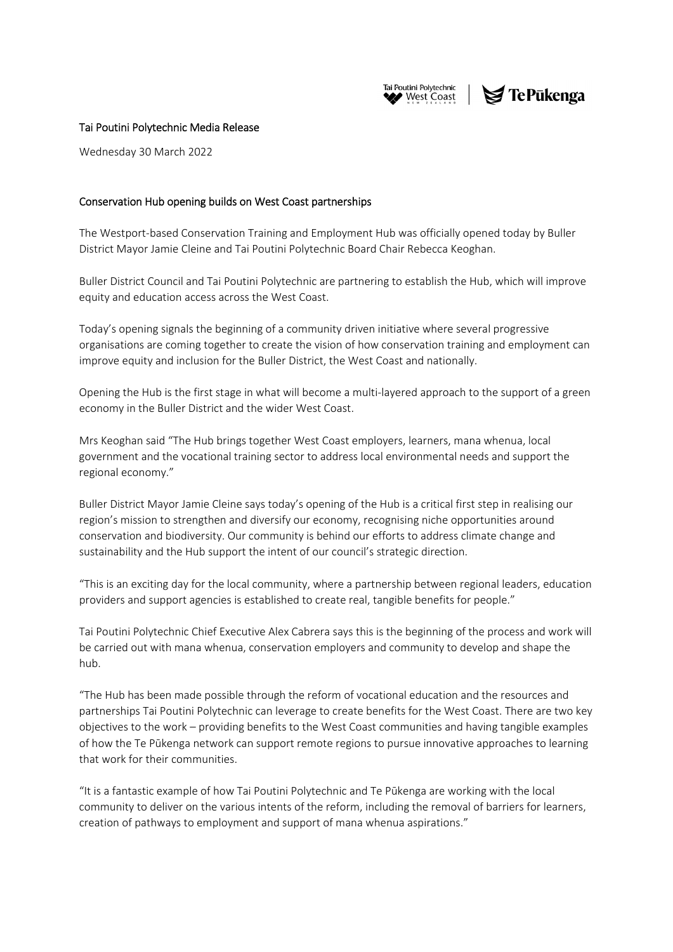

# $\blacktriangleright$  TePūkenga

### Tai Poutini Polytechnic Media Release

Wednesday 30 March 2022

## Conservation Hub opening builds on West Coast partnerships

The Westport‐based Conservation Training and Employment Hub was officially opened today by Buller District Mayor Jamie Cleine and Tai Poutini Polytechnic Board Chair Rebecca Keoghan.

Buller District Council and Tai Poutini Polytechnic are partnering to establish the Hub, which will improve equity and education access across the West Coast.

Today's opening signals the beginning of a community driven initiative where several progressive organisations are coming together to create the vision of how conservation training and employment can improve equity and inclusion for the Buller District, the West Coast and nationally.

Opening the Hub is the first stage in what will become a multi‐layered approach to the support of a green economy in the Buller District and the wider West Coast.

Mrs Keoghan said "The Hub brings together West Coast employers, learners, mana whenua, local government and the vocational training sector to address local environmental needs and support the regional economy."

Buller District Mayor Jamie Cleine says today's opening of the Hub is a critical first step in realising our region's mission to strengthen and diversify our economy, recognising niche opportunities around conservation and biodiversity. Our community is behind our efforts to address climate change and sustainability and the Hub support the intent of our council's strategic direction.

"This is an exciting day for the local community, where a partnership between regional leaders, education providers and support agencies is established to create real, tangible benefits for people."

Tai Poutini Polytechnic Chief Executive Alex Cabrera says this is the beginning of the process and work will be carried out with mana whenua, conservation employers and community to develop and shape the hub.

"The Hub has been made possible through the reform of vocational education and the resources and partnerships Tai Poutini Polytechnic can leverage to create benefits for the West Coast. There are two key objectives to the work – providing benefits to the West Coast communities and having tangible examples of how the Te Pūkenga network can support remote regions to pursue innovative approaches to learning that work for their communities.

"It is a fantastic example of how Tai Poutini Polytechnic and Te Pūkenga are working with the local community to deliver on the various intents of the reform, including the removal of barriers for learners, creation of pathways to employment and support of mana whenua aspirations."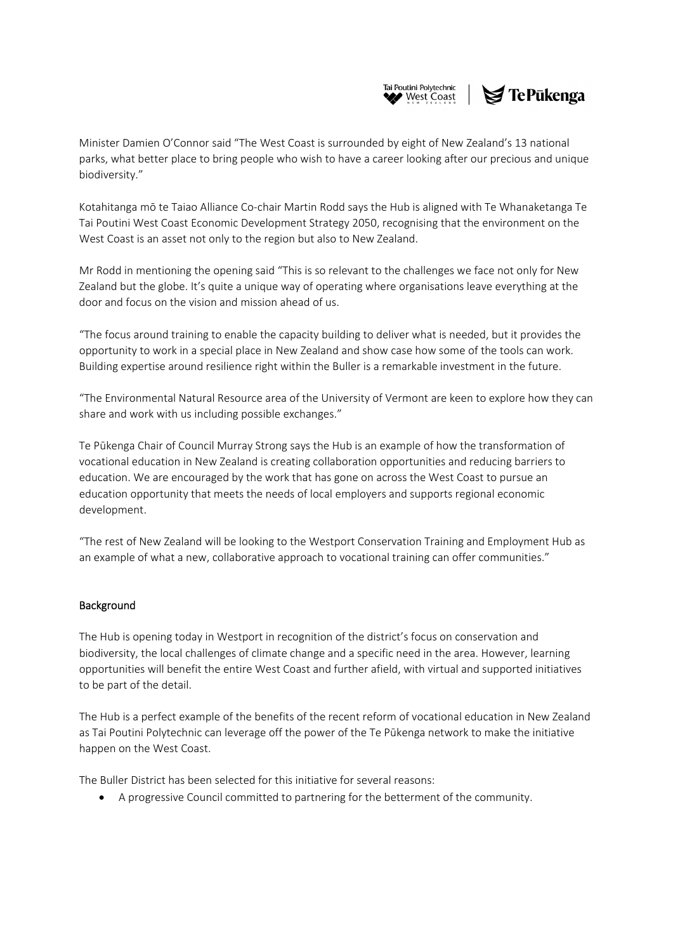

Minister Damien O'Connor said "The West Coast is surrounded by eight of New Zealand's 13 national parks, what better place to bring people who wish to have a career looking after our precious and unique biodiversity."

Kotahitanga mō te Taiao Alliance Co‐chair Martin Rodd says the Hub is aligned with Te Whanaketanga Te Tai Poutini West Coast Economic Development Strategy 2050, recognising that the environment on the West Coast is an asset not only to the region but also to New Zealand.

Mr Rodd in mentioning the opening said "This is so relevant to the challenges we face not only for New Zealand but the globe. It's quite a unique way of operating where organisations leave everything at the door and focus on the vision and mission ahead of us.

"The focus around training to enable the capacity building to deliver what is needed, but it provides the opportunity to work in a special place in New Zealand and show case how some of the tools can work. Building expertise around resilience right within the Buller is a remarkable investment in the future.

"The Environmental Natural Resource area of the University of Vermont are keen to explore how they can share and work with us including possible exchanges."

Te Pūkenga Chair of Council Murray Strong says the Hub is an example of how the transformation of vocational education in New Zealand is creating collaboration opportunities and reducing barriers to education. We are encouraged by the work that has gone on across the West Coast to pursue an education opportunity that meets the needs of local employers and supports regional economic development.

"The rest of New Zealand will be looking to the Westport Conservation Training and Employment Hub as an example of what a new, collaborative approach to vocational training can offer communities."

### Background

The Hub is opening today in Westport in recognition of the district's focus on conservation and biodiversity, the local challenges of climate change and a specific need in the area. However, learning opportunities will benefit the entire West Coast and further afield, with virtual and supported initiatives to be part of the detail.

The Hub is a perfect example of the benefits of the recent reform of vocational education in New Zealand as Tai Poutini Polytechnic can leverage off the power of the Te Pūkenga network to make the initiative happen on the West Coast.

The Buller District has been selected for this initiative for several reasons:

A progressive Council committed to partnering for the betterment of the community.